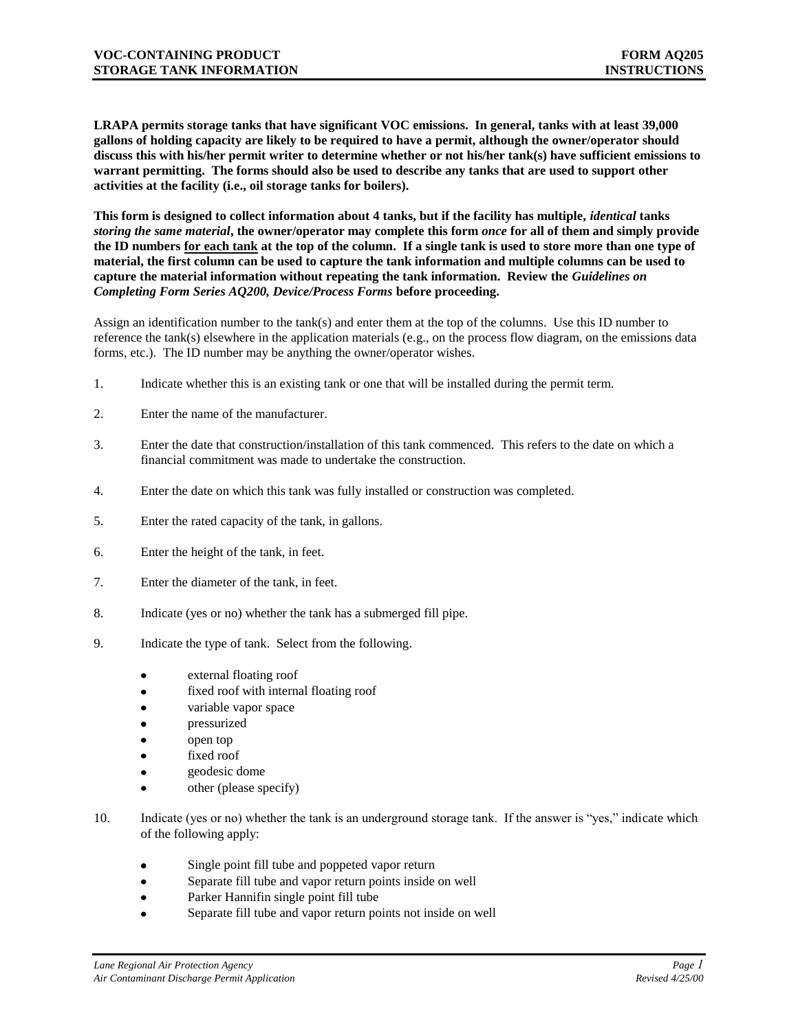**LRAPA permits storage tanks that have significant VOC emissions. In general, tanks with at least 39,000 gallons of holding capacity are likely to be required to have a permit, although the owner/operator should discuss this with his/her permit writer to determine whether or not his/her tank(s) have sufficient emissions to warrant permitting. The forms should also be used to describe any tanks that are used to support other activities at the facility (i.e., oil storage tanks for boilers).**

**This form is designed to collect information about 4 tanks, but if the facility has multiple,** *identical* **tanks**  *storing the same material***, the owner/operator may complete this form** *once* **for all of them and simply provide the ID numbers for each tank at the top of the column. If a single tank is used to store more than one type of material, the first column can be used to capture the tank information and multiple columns can be used to capture the material information without repeating the tank information. Review the** *Guidelines on Completing Form Series AQ200, Device/Process Forms* **before proceeding.**

Assign an identification number to the tank(s) and enter them at the top of the columns. Use this ID number to reference the tank(s) elsewhere in the application materials (e.g., on the process flow diagram, on the emissions data forms, etc.). The ID number may be anything the owner/operator wishes.

- 1. Indicate whether this is an existing tank or one that will be installed during the permit term.
- 2. Enter the name of the manufacturer.
- 3. Enter the date that construction/installation of this tank commenced. This refers to the date on which a financial commitment was made to undertake the construction.
- 4. Enter the date on which this tank was fully installed or construction was completed.
- 5. Enter the rated capacity of the tank, in gallons.
- 6. Enter the height of the tank, in feet.
- 7. Enter the diameter of the tank, in feet.
- 8. Indicate (yes or no) whether the tank has a submerged fill pipe.
- 9. Indicate the type of tank. Select from the following.
	- external floating roof
	- fixed roof with internal floating roof
	- variable vapor space
	- pressurized
	- open top
	- fixed roof
	- geodesic dome
	- other (please specify)
- 10. Indicate (yes or no) whether the tank is an underground storage tank. If the answer is "yes," indicate which of the following apply:
	- Single point fill tube and poppeted vapor return  $\bullet$
	- Separate fill tube and vapor return points inside on well  $\bullet$
	- Parker Hannifin single point fill tube
	- Separate fill tube and vapor return points not inside on well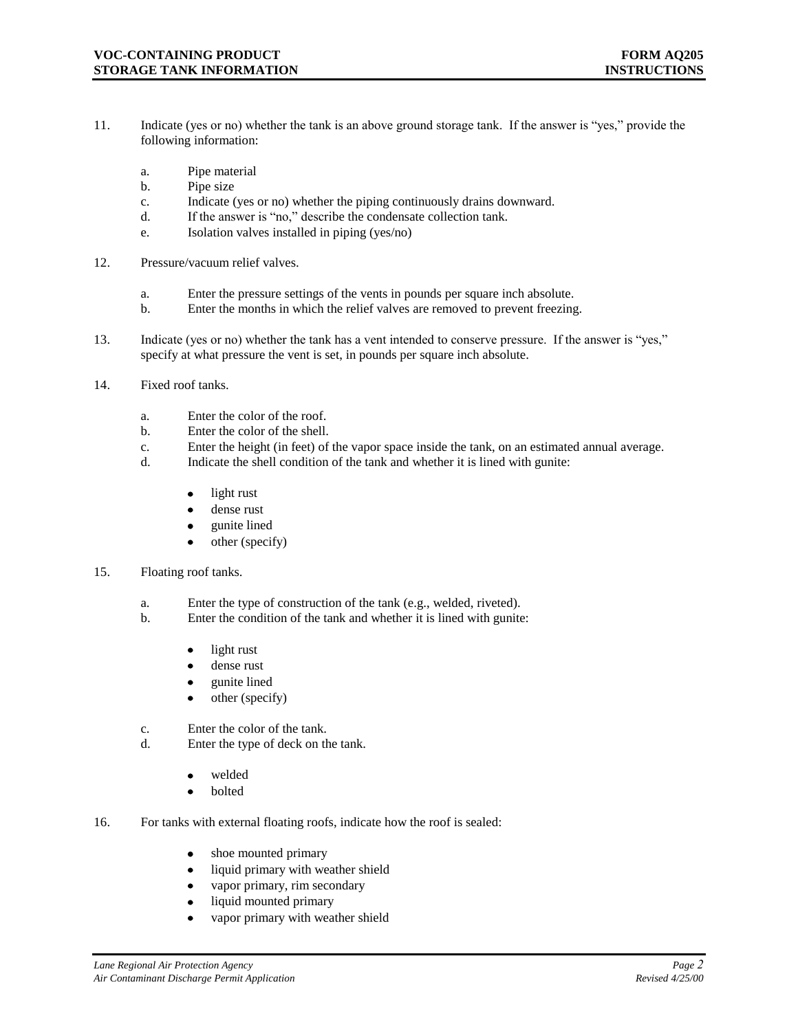- 11. Indicate (yes or no) whether the tank is an above ground storage tank. If the answer is "yes," provide the following information:
	- a. Pipe material
	- b. Pipe size
	- c. Indicate (yes or no) whether the piping continuously drains downward.
	- d. If the answer is "no," describe the condensate collection tank.
	- e. Isolation valves installed in piping (yes/no)
- 12. Pressure/vacuum relief valves.
	- a. Enter the pressure settings of the vents in pounds per square inch absolute.
	- b. Enter the months in which the relief valves are removed to prevent freezing.
- 13. Indicate (yes or no) whether the tank has a vent intended to conserve pressure. If the answer is "yes," specify at what pressure the vent is set, in pounds per square inch absolute.
- 14. Fixed roof tanks.
	- a. Enter the color of the roof.
	- b. Enter the color of the shell.
	- c. Enter the height (in feet) of the vapor space inside the tank, on an estimated annual average.
	- d. Indicate the shell condition of the tank and whether it is lined with gunite:
		- light rust  $\bullet$
		- dense rust
		- gunite lined
		- other (specify)  $\bullet$
- 15. Floating roof tanks.
	- a. Enter the type of construction of the tank (e.g., welded, riveted).
	- b. Enter the condition of the tank and whether it is lined with gunite:
		- light rust
		- dense rust
		- gunite lined
		- other (specify)
	- c. Enter the color of the tank.
	- d. Enter the type of deck on the tank.
		- welded
		- $\bullet$ bolted
- 16. For tanks with external floating roofs, indicate how the roof is sealed:
	- shoe mounted primary  $\bullet$
	- liquid primary with weather shield  $\bullet$
	- vapor primary, rim secondary  $\bullet$
	- liquid mounted primary  $\bullet$
	- vapor primary with weather shield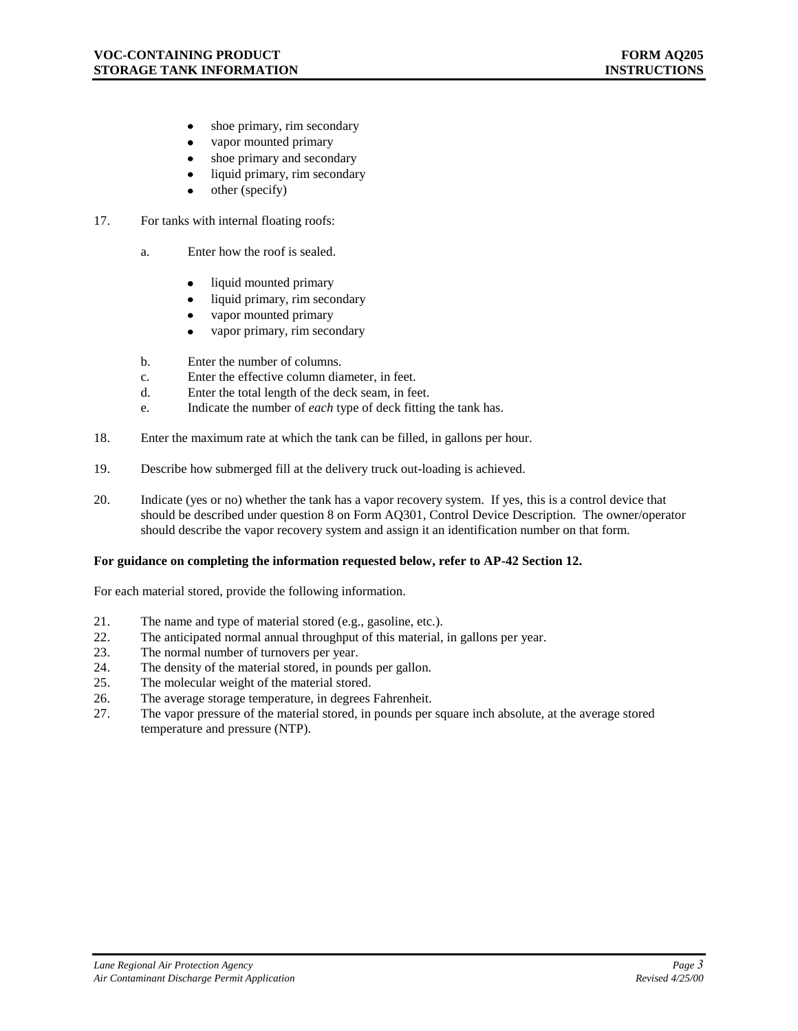- shoe primary, rim secondary  $\bullet$
- $\bullet$ vapor mounted primary
- shoe primary and secondary
- liquid primary, rim secondary  $\bullet$
- other (specify)
- 17. For tanks with internal floating roofs:
	- a. Enter how the roof is sealed.
		- liquid mounted primary  $\bullet$
		- liquid primary, rim secondary
		- vapor mounted primary
		- vapor primary, rim secondary
	- b. Enter the number of columns.
	- c. Enter the effective column diameter, in feet.
	- d. Enter the total length of the deck seam, in feet.
	- e. Indicate the number of *each* type of deck fitting the tank has.
- 18. Enter the maximum rate at which the tank can be filled, in gallons per hour.
- 19. Describe how submerged fill at the delivery truck out-loading is achieved.
- 20. Indicate (yes or no) whether the tank has a vapor recovery system. If yes, this is a control device that should be described under question 8 on Form AQ301, Control Device Description. The owner/operator should describe the vapor recovery system and assign it an identification number on that form.

#### **For guidance on completing the information requested below, refer to AP-42 Section 12.**

For each material stored, provide the following information.

- 21. The name and type of material stored (e.g., gasoline, etc.).
- 22. The anticipated normal annual throughput of this material, in gallons per year.
- 23. The normal number of turnovers per year.
- 24. The density of the material stored, in pounds per gallon.
- 25. The molecular weight of the material stored.
- 26. The average storage temperature, in degrees Fahrenheit.
- 27. The vapor pressure of the material stored, in pounds per square inch absolute, at the average stored temperature and pressure (NTP).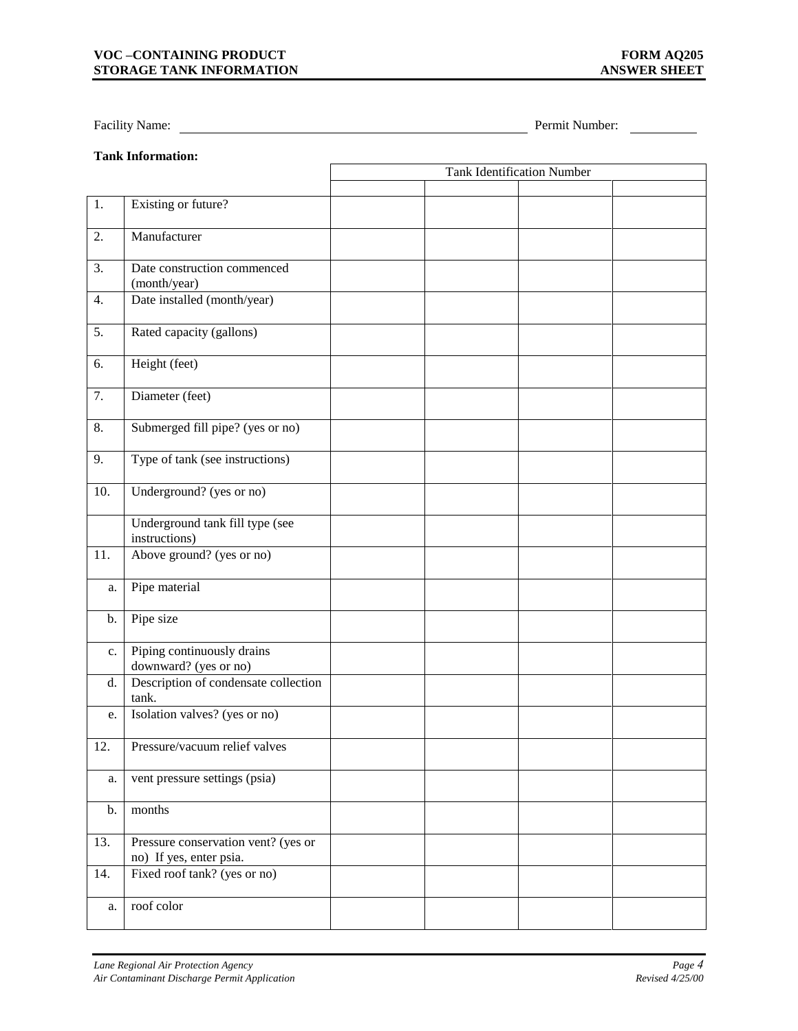#### **VOC –CONTAINING PRODUCT FORM AQ205 STORAGE TANK INFORMATION ANSWER SHEET**

Facility Name: <u>Name: Permit Number:</u> Permit Number:

# **Tank Information:**

|     |                                                                | <b>Tank Identification Number</b> |  |  |  |
|-----|----------------------------------------------------------------|-----------------------------------|--|--|--|
|     |                                                                |                                   |  |  |  |
| 1.  | Existing or future?                                            |                                   |  |  |  |
| 2.  | Manufacturer                                                   |                                   |  |  |  |
| 3.  | Date construction commenced<br>(month/year)                    |                                   |  |  |  |
| 4.  | Date installed (month/year)                                    |                                   |  |  |  |
| 5.  | Rated capacity (gallons)                                       |                                   |  |  |  |
| 6.  | Height (feet)                                                  |                                   |  |  |  |
| 7.  | Diameter (feet)                                                |                                   |  |  |  |
| 8.  | Submerged fill pipe? (yes or no)                               |                                   |  |  |  |
| 9.  | Type of tank (see instructions)                                |                                   |  |  |  |
| 10. | Underground? (yes or no)                                       |                                   |  |  |  |
|     | Underground tank fill type (see<br>instructions)               |                                   |  |  |  |
| 11. | Above ground? (yes or no)                                      |                                   |  |  |  |
| a.  | Pipe material                                                  |                                   |  |  |  |
| b.  | Pipe size                                                      |                                   |  |  |  |
| c.  | Piping continuously drains<br>downward? (yes or no)            |                                   |  |  |  |
| d.  | Description of condensate collection<br>tank.                  |                                   |  |  |  |
| e.  | Isolation valves? (yes or no)                                  |                                   |  |  |  |
| 12. | Pressure/vacuum relief valves                                  |                                   |  |  |  |
| a.  | vent pressure settings (psia)                                  |                                   |  |  |  |
| b.  | months                                                         |                                   |  |  |  |
| 13. | Pressure conservation vent? (yes or<br>no) If yes, enter psia. |                                   |  |  |  |
| 14. | Fixed roof tank? (yes or no)                                   |                                   |  |  |  |
| a.  | roof color                                                     |                                   |  |  |  |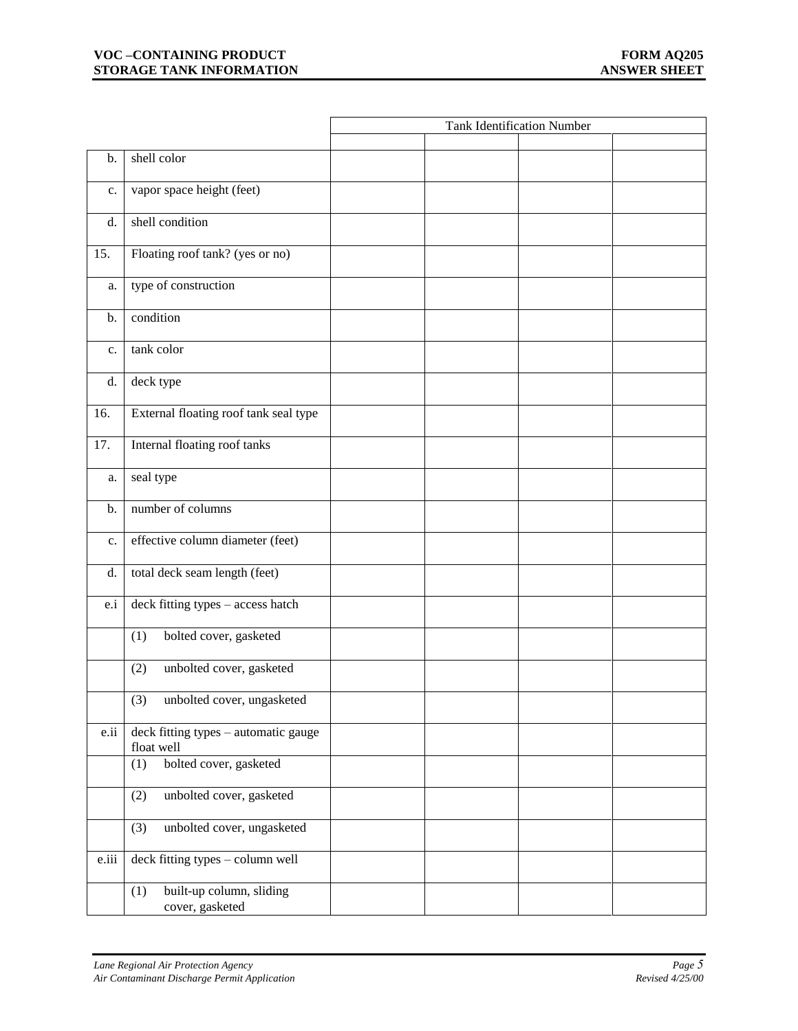## **VOC –CONTAINING PRODUCT FORM AQ205**<br>**FORM AQ205**<br>**EXPLORAGE TANK INFORMATION STORAGE TANK INFORMATION**

|       |                                                    | <b>Tank Identification Number</b> |  |  |  |
|-------|----------------------------------------------------|-----------------------------------|--|--|--|
|       |                                                    |                                   |  |  |  |
| b.    | shell color                                        |                                   |  |  |  |
| c.    | vapor space height (feet)                          |                                   |  |  |  |
| d.    | shell condition                                    |                                   |  |  |  |
| 15.   | Floating roof tank? (yes or no)                    |                                   |  |  |  |
| a.    | type of construction                               |                                   |  |  |  |
| b.    | condition                                          |                                   |  |  |  |
| c.    | tank color                                         |                                   |  |  |  |
| d.    | deck type                                          |                                   |  |  |  |
| 16.   | External floating roof tank seal type              |                                   |  |  |  |
| 17.   | Internal floating roof tanks                       |                                   |  |  |  |
| a.    | seal type                                          |                                   |  |  |  |
| b.    | number of columns                                  |                                   |  |  |  |
| c.    | effective column diameter (feet)                   |                                   |  |  |  |
| d.    | total deck seam length (feet)                      |                                   |  |  |  |
| e.i   | deck fitting types - access hatch                  |                                   |  |  |  |
|       | bolted cover, gasketed<br>(1)                      |                                   |  |  |  |
|       | unbolted cover, gasketed<br>(2)                    |                                   |  |  |  |
|       | (3)<br>unbolted cover, ungasketed                  |                                   |  |  |  |
| e.ii  | deck fitting types - automatic gauge<br>float well |                                   |  |  |  |
|       | bolted cover, gasketed<br>(1)                      |                                   |  |  |  |
|       | unbolted cover, gasketed<br>(2)                    |                                   |  |  |  |
|       | unbolted cover, ungasketed<br>(3)                  |                                   |  |  |  |
| e.iii | deck fitting types - column well                   |                                   |  |  |  |
|       | built-up column, sliding<br>(1)<br>cover, gasketed |                                   |  |  |  |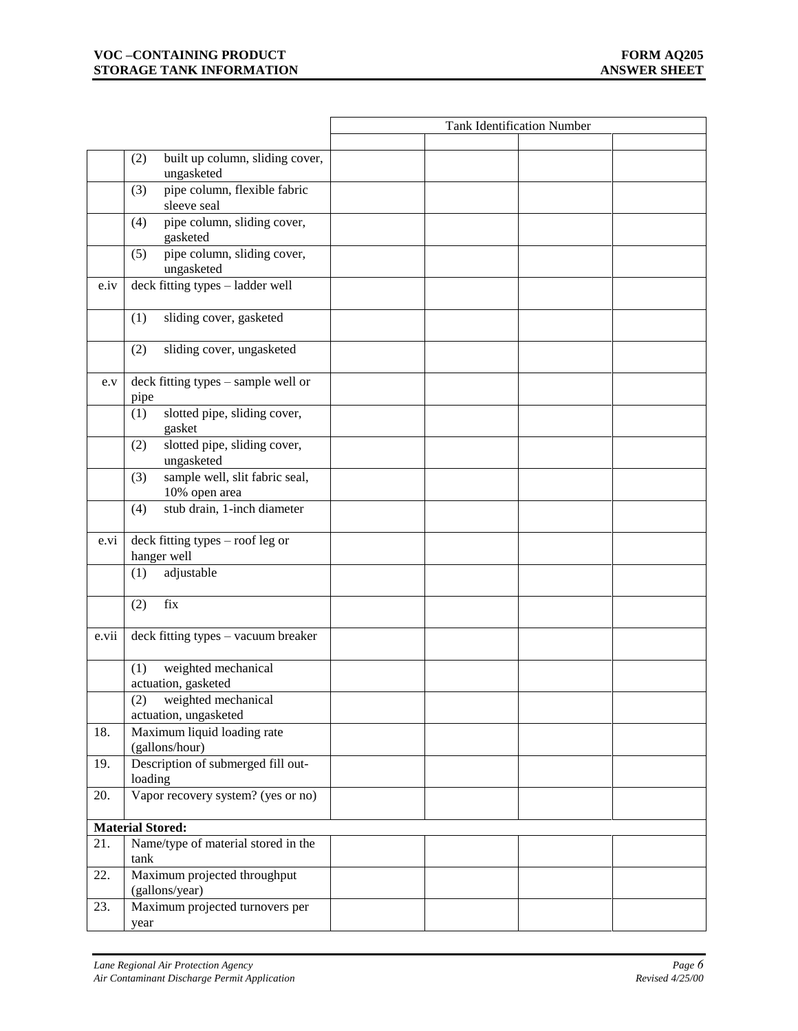## **VOC –CONTAINING PRODUCT FORM AQ205**<br>**FORM AQ205**<br>**EXPLORAGE TANK INFORMATION STORAGE TANK INFORMATION**

|         |                                                        | <b>Tank Identification Number</b> |  |  |  |
|---------|--------------------------------------------------------|-----------------------------------|--|--|--|
|         |                                                        |                                   |  |  |  |
|         | built up column, sliding cover,<br>(2)<br>ungasketed   |                                   |  |  |  |
|         | pipe column, flexible fabric<br>(3)<br>sleeve seal     |                                   |  |  |  |
|         | pipe column, sliding cover,<br>(4)<br>gasketed         |                                   |  |  |  |
|         | pipe column, sliding cover,<br>(5)<br>ungasketed       |                                   |  |  |  |
| $e$ .iv | deck fitting types - ladder well                       |                                   |  |  |  |
|         | sliding cover, gasketed<br>(1)                         |                                   |  |  |  |
|         | (2)<br>sliding cover, ungasketed                       |                                   |  |  |  |
| e.v     | deck fitting types – sample well or<br>pipe            |                                   |  |  |  |
|         | slotted pipe, sliding cover,<br>(1)<br>gasket          |                                   |  |  |  |
|         | slotted pipe, sliding cover,<br>(2)<br>ungasketed      |                                   |  |  |  |
|         | sample well, slit fabric seal,<br>(3)<br>10% open area |                                   |  |  |  |
|         | stub drain, 1-inch diameter<br>(4)                     |                                   |  |  |  |
| e.vi    | deck fitting types - roof leg or<br>hanger well        |                                   |  |  |  |
|         | adjustable<br>(1)                                      |                                   |  |  |  |
|         | fix<br>(2)                                             |                                   |  |  |  |
| e.vii   | deck fitting types - vacuum breaker                    |                                   |  |  |  |
|         | weighted mechanical<br>(1)<br>actuation, gasketed      |                                   |  |  |  |
|         | weighted mechanical<br>(2)<br>actuation, ungasketed    |                                   |  |  |  |
| 18.     | Maximum liquid loading rate<br>(gallons/hour)          |                                   |  |  |  |
| 19.     | Description of submerged fill out-<br>loading          |                                   |  |  |  |
| 20.     | Vapor recovery system? (yes or no)                     |                                   |  |  |  |
|         | <b>Material Stored:</b>                                |                                   |  |  |  |
| 21.     | Name/type of material stored in the<br>tank            |                                   |  |  |  |
| 22.     | Maximum projected throughput<br>(gallons/year)         |                                   |  |  |  |
| 23.     | Maximum projected turnovers per<br>year                |                                   |  |  |  |